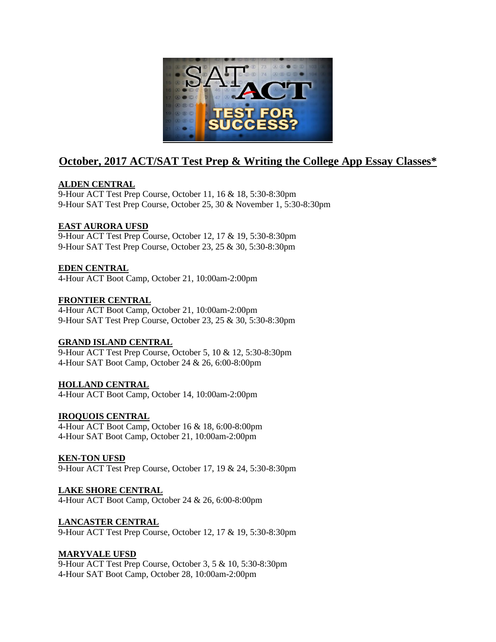

# **October, 2017 ACT/SAT Test Prep & Writing the College App Essay Classes\***

# **ALDEN CENTRAL**

9-Hour ACT Test Prep Course, October 11, 16 & 18, 5:30-8:30pm 9-Hour SAT Test Prep Course, October 25, 30 & November 1, 5:30-8:30pm

# **EAST AURORA UFSD**

9-Hour ACT Test Prep Course, October 12, 17 & 19, 5:30-8:30pm 9-Hour SAT Test Prep Course, October 23, 25 & 30, 5:30-8:30pm

# **EDEN CENTRAL**

4-Hour ACT Boot Camp, October 21, 10:00am-2:00pm

#### **FRONTIER CENTRAL**

4-Hour ACT Boot Camp, October 21, 10:00am-2:00pm 9-Hour SAT Test Prep Course, October 23, 25 & 30, 5:30-8:30pm

#### **GRAND ISLAND CENTRAL**

9-Hour ACT Test Prep Course, October 5, 10 & 12, 5:30-8:30pm 4-Hour SAT Boot Camp, October 24 & 26, 6:00-8:00pm

#### **HOLLAND CENTRAL**

4-Hour ACT Boot Camp, October 14, 10:00am-2:00pm

#### **IROQUOIS CENTRAL**

4-Hour ACT Boot Camp, October 16 & 18, 6:00-8:00pm 4-Hour SAT Boot Camp, October 21, 10:00am-2:00pm

#### **KEN-TON UFSD**

9-Hour ACT Test Prep Course, October 17, 19 & 24, 5:30-8:30pm

#### **LAKE SHORE CENTRAL**

4-Hour ACT Boot Camp, October 24 & 26, 6:00-8:00pm

#### **LANCASTER CENTRAL**

9-Hour ACT Test Prep Course, October 12, 17 & 19, 5:30-8:30pm

#### **MARYVALE UFSD**

9-Hour ACT Test Prep Course, October 3, 5 & 10, 5:30-8:30pm 4-Hour SAT Boot Camp, October 28, 10:00am-2:00pm